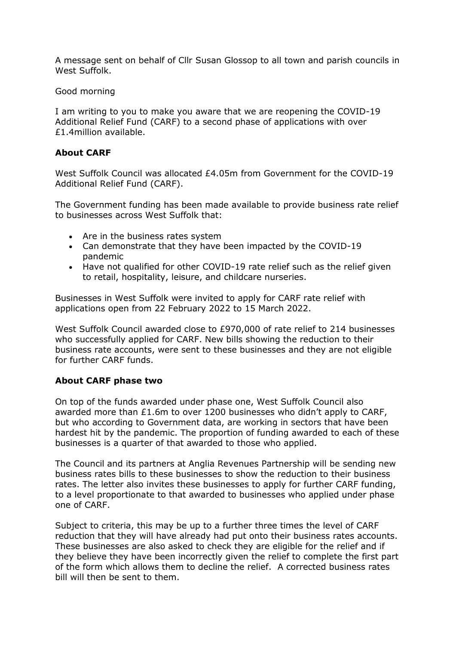A message sent on behalf of Cllr Susan Glossop to all town and parish councils in West Suffolk.

Good morning

I am writing to you to make you aware that we are reopening the COVID-19 Additional Relief Fund (CARF) to a second phase of applications with over £1.4million available.

## **About CARF**

West Suffolk Council was allocated £4.05m from Government for the COVID-19 Additional Relief Fund (CARF).

The Government funding has been made available to provide business rate relief to businesses across West Suffolk that:

- Are in the business rates system
- Can demonstrate that they have been impacted by the COVID-19 pandemic
- Have not qualified for other COVID-19 rate relief such as the relief given to retail, hospitality, leisure, and childcare nurseries.

Businesses in West Suffolk were invited to apply for CARF rate relief with applications open from 22 February 2022 to 15 March 2022.

West Suffolk Council awarded close to £970,000 of rate relief to 214 businesses who successfully applied for CARF. New bills showing the reduction to their business rate accounts, were sent to these businesses and they are not eligible for further CARF funds.

## **About CARF phase two**

On top of the funds awarded under phase one, West Suffolk Council also awarded more than £1.6m to over 1200 businesses who didn't apply to CARF, but who according to Government data, are working in sectors that have been hardest hit by the pandemic. The proportion of funding awarded to each of these businesses is a quarter of that awarded to those who applied.

The Council and its partners at Anglia Revenues Partnership will be sending new business rates bills to these businesses to show the reduction to their business rates. The letter also invites these businesses to apply for further CARF funding, to a level proportionate to that awarded to businesses who applied under phase one of CARF.

Subject to criteria, this may be up to a further three times the level of CARF reduction that they will have already had put onto their business rates accounts. These businesses are also asked to check they are eligible for the relief and if they believe they have been incorrectly given the relief to complete the first part of the form which allows them to decline the relief. A corrected business rates bill will then be sent to them.